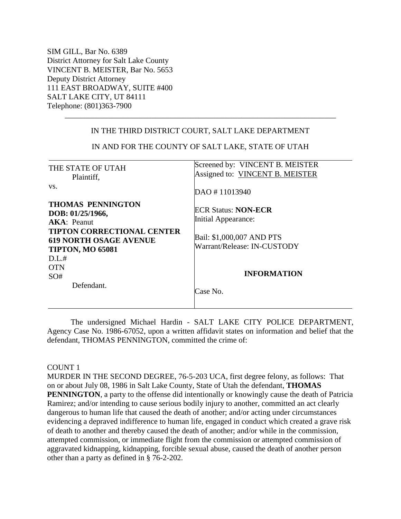SIM GILL, Bar No. 6389 District Attorney for Salt Lake County VINCENT B. MEISTER, Bar No. 5653 Deputy District Attorney 111 EAST BROADWAY, SUITE #400 SALT LAKE CITY, UT 84111 Telephone: (801)363-7900

## IN THE THIRD DISTRICT COURT, SALT LAKE DEPARTMENT

\_\_\_\_\_\_\_\_\_\_\_\_\_\_\_\_\_\_\_\_\_\_\_\_\_\_\_\_\_\_\_\_\_\_\_\_\_\_\_\_\_\_\_\_\_\_\_\_\_\_\_\_\_\_\_\_\_\_\_\_\_\_\_\_\_\_\_\_\_

| THE STATE OF UTAH<br>Plaintiff,<br>VS.                                                                                                                                              | Screened by: VINCENT B. MEISTER<br>Assigned to: VINCENT B. MEISTER                                            |
|-------------------------------------------------------------------------------------------------------------------------------------------------------------------------------------|---------------------------------------------------------------------------------------------------------------|
|                                                                                                                                                                                     | DAO #11013940                                                                                                 |
| <b>THOMAS PENNINGTON</b><br>DOB: 01/25/1966,<br>AKA: Peanut<br><b>TIPTON CORRECTIONAL CENTER</b><br><b>619 NORTH OSAGE AVENUE</b><br><b>TIPTON, MO 65081</b><br>D.I.#<br><b>OTN</b> | <b>ECR Status: NON-ECR</b><br>Initial Appearance:<br>Bail: \$1,000,007 AND PTS<br>Warrant/Release: IN-CUSTODY |
| SO#<br>Defendant.                                                                                                                                                                   | <b>INFORMATION</b><br>Case No.                                                                                |

IN AND FOR THE COUNTY OF SALT LAKE, STATE OF UTAH

The undersigned Michael Hardin - SALT LAKE CITY POLICE DEPARTMENT, Agency Case No. 1986-67052, upon a written affidavit states on information and belief that the defendant, THOMAS PENNINGTON, committed the crime of:

## COUNT 1

MURDER IN THE SECOND DEGREE, 76-5-203 UCA, first degree felony, as follows: That on or about July 08, 1986 in Salt Lake County, State of Utah the defendant, **THOMAS PENNINGTON**, a party to the offense did intentionally or knowingly cause the death of Patricia Ramirez; and/or intending to cause serious bodily injury to another, committed an act clearly dangerous to human life that caused the death of another; and/or acting under circumstances evidencing a depraved indifference to human life, engaged in conduct which created a grave risk of death to another and thereby caused the death of another; and/or while in the commission, attempted commission, or immediate flight from the commission or attempted commission of aggravated kidnapping, kidnapping, forcible sexual abuse, caused the death of another person other than a party as defined in § 76-2-202.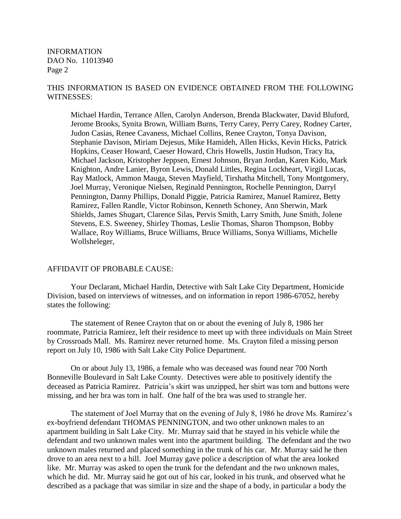INFORMATION DAO No. 11013940 Page 2

## THIS INFORMATION IS BASED ON EVIDENCE OBTAINED FROM THE FOLLOWING WITNESSES:

Michael Hardin, Terrance Allen, Carolyn Anderson, Brenda Blackwater, David Bluford, Jerome Brooks, Synita Brown, William Burns, Terry Carey, Perry Carey, Rodney Carter, Judon Casias, Renee Cavaness, Michael Collins, Renee Crayton, Tonya Davison, Stephanie Davison, Miriam Dejesus, Mike Hamideh, Allen Hicks, Kevin Hicks, Patrick Hopkins, Ceaser Howard, Caeser Howard, Chris Howells, Justin Hudson, Tracy Ita, Michael Jackson, Kristopher Jeppsen, Ernest Johnson, Bryan Jordan, Karen Kido, Mark Knighton, Andre Lanier, Byron Lewis, Donald Littles, Regina Lockheart, Virgil Lucas, Ray Matlock, Ammon Mauga, Steven Mayfield, Tirshatha Mitchell, Tony Montgomery, Joel Murray, Veronique Nielsen, Reginald Pennington, Rochelle Pennington, Darryl Pennington, Danny Phillips, Donald Piggie, Patricia Ramirez, Manuel Ramirez, Betty Ramirez, Fallen Randle, Victor Robinson, Kenneth Schoney, Ann Sherwin, Mark Shields, James Shugart, Clarence Silas, Pervis Smith, Larry Smith, June Smith, Jolene Stevens, E.S. Sweeney, Shirley Thomas, Leslie Thomas, Sharon Thompson, Bobby Wallace, Roy Williams, Bruce Williams, Bruce Williams, Sonya Williams, Michelle Wollsheleger,

## AFFIDAVIT OF PROBABLE CAUSE:

Your Declarant, Michael Hardin, Detective with Salt Lake City Department, Homicide Division, based on interviews of witnesses, and on information in report 1986-67052, hereby states the following:

The statement of Renee Crayton that on or about the evening of July 8, 1986 her roommate, Patricia Ramirez, left their residence to meet up with three individuals on Main Street by Crossroads Mall. Ms. Ramirez never returned home. Ms. Crayton filed a missing person report on July 10, 1986 with Salt Lake City Police Department.

On or about July 13, 1986, a female who was deceased was found near 700 North Bonneville Boulevard in Salt Lake County. Detectives were able to positively identify the deceased as Patricia Ramirez. Patricia's skirt was unzipped, her shirt was torn and buttons were missing, and her bra was torn in half. One half of the bra was used to strangle her.

The statement of Joel Murray that on the evening of July 8, 1986 he drove Ms. Ramirez's ex-boyfriend defendant THOMAS PENNINGTON, and two other unknown males to an apartment building in Salt Lake City. Mr. Murray said that he stayed in his vehicle while the defendant and two unknown males went into the apartment building. The defendant and the two unknown males returned and placed something in the trunk of his car. Mr. Murray said he then drove to an area next to a hill. Joel Murray gave police a description of what the area looked like. Mr. Murray was asked to open the trunk for the defendant and the two unknown males, which he did. Mr. Murray said he got out of his car, looked in his trunk, and observed what he described as a package that was similar in size and the shape of a body, in particular a body the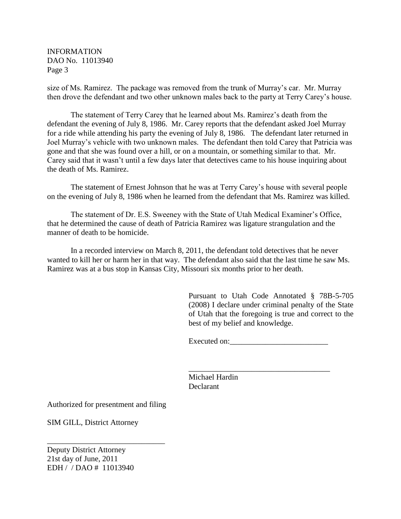INFORMATION DAO No. 11013940 Page 3

size of Ms. Ramirez. The package was removed from the trunk of Murray's car. Mr. Murray then drove the defendant and two other unknown males back to the party at Terry Carey's house.

The statement of Terry Carey that he learned about Ms. Ramirez's death from the defendant the evening of July 8, 1986. Mr. Carey reports that the defendant asked Joel Murray for a ride while attending his party the evening of July 8, 1986. The defendant later returned in Joel Murray's vehicle with two unknown males. The defendant then told Carey that Patricia was gone and that she was found over a hill, or on a mountain, or something similar to that. Mr. Carey said that it wasn't until a few days later that detectives came to his house inquiring about the death of Ms. Ramirez.

The statement of Ernest Johnson that he was at Terry Carey's house with several people on the evening of July 8, 1986 when he learned from the defendant that Ms. Ramirez was killed.

The statement of Dr. E.S. Sweeney with the State of Utah Medical Examiner's Office, that he determined the cause of death of Patricia Ramirez was ligature strangulation and the manner of death to be homicide.

In a recorded interview on March 8, 2011, the defendant told detectives that he never wanted to kill her or harm her in that way. The defendant also said that the last time he saw Ms. Ramirez was at a bus stop in Kansas City, Missouri six months prior to her death.

> Pursuant to Utah Code Annotated § 78B-5-705 (2008) I declare under criminal penalty of the State of Utah that the foregoing is true and correct to the best of my belief and knowledge.

Executed on:

\_\_\_\_\_\_\_\_\_\_\_\_\_\_\_\_\_\_\_\_\_\_\_\_\_\_\_\_\_\_\_\_\_\_\_\_

Michael Hardin Declarant

Authorized for presentment and filing

\_\_\_\_\_\_\_\_\_\_\_\_\_\_\_\_\_\_\_\_\_\_\_\_\_\_\_\_\_\_

SIM GILL, District Attorney

Deputy District Attorney 21st day of June, 2011 EDH / / DAO # 11013940